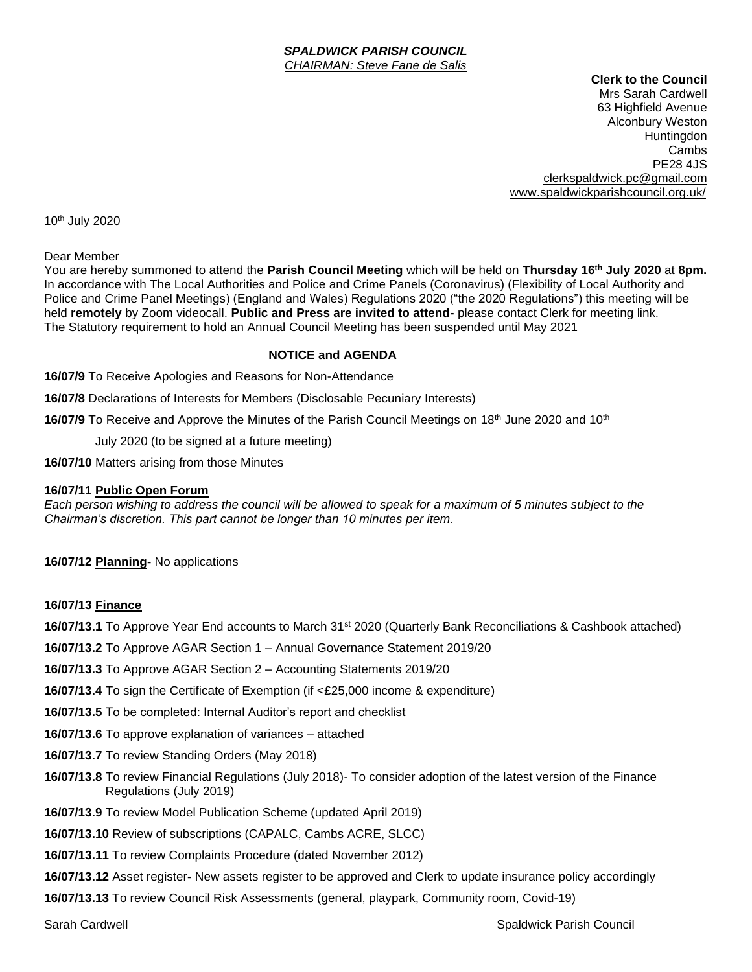#### *SPALDWICK PARISH COUNCIL CHAIRMAN: Steve Fane de Salis*

**Clerk to the Council**

Mrs Sarah Cardwell 63 Highfield Avenue Alconbury Weston Huntingdon Cambs PE28 4JS [clerkspaldwick.pc@gmail.com](mailto:clerkspaldwick.pc@gmail.com) [www.spaldwickparishcouncil.org.uk/](http://www.spaldwickparishcouncil.org.uk/)

10th July 2020

### Dear Member

You are hereby summoned to attend the **Parish Council Meeting** which will be held on **Thursday 16th July 2020** at **8pm.**  In accordance with The Local Authorities and Police and Crime Panels (Coronavirus) (Flexibility of Local Authority and Police and Crime Panel Meetings) (England and Wales) Regulations 2020 ("the 2020 Regulations") this meeting will be held **remotely** by Zoom videocall. **Public and Press are invited to attend-** please contact Clerk for meeting link. The Statutory requirement to hold an Annual Council Meeting has been suspended until May 2021

### **NOTICE and AGENDA**

**16/07/9** To Receive Apologies and Reasons for Non-Attendance

**16/07/8** Declarations of Interests for Members (Disclosable Pecuniary Interests)

**16/07/9** To Receive and Approve the Minutes of the Parish Council Meetings on 18<sup>th</sup> June 2020 and 10<sup>th</sup>

July 2020 (to be signed at a future meeting)

**16/07/10** Matters arising from those Minutes

#### **16/07/11 Public Open Forum**

*Each person wishing to address the council will be allowed to speak for a maximum of 5 minutes subject to the Chairman's discretion. This part cannot be longer than 10 minutes per item.* 

**16/07/12 Planning-** No applications

### **16/07/13 Finance**

**16/07/13.1** To Approve Year End accounts to March 31st 2020 (Quarterly Bank Reconciliations & Cashbook attached)

**16/07/13.2** To Approve AGAR Section 1 – Annual Governance Statement 2019/20

**16/07/13.3** To Approve AGAR Section 2 – Accounting Statements 2019/20

**16/07/13.4** To sign the Certificate of Exemption (if <£25,000 income & expenditure)

**16/07/13.5** To be completed: Internal Auditor's report and checklist

**16/07/13.6** To approve explanation of variances – attached

**16/07/13.7** To review Standing Orders (May 2018)

- **16/07/13.8** To review Financial Regulations (July 2018)- To consider adoption of the latest version of the Finance Regulations (July 2019)
- **16/07/13.9** To review Model Publication Scheme (updated April 2019)

**16/07/13.10** Review of subscriptions (CAPALC, Cambs ACRE, SLCC)

**16/07/13.11** To review Complaints Procedure (dated November 2012)

**16/07/13.12** Asset register**-** New assets register to be approved and Clerk to update insurance policy accordingly

**16/07/13.13** To review Council Risk Assessments (general, playpark, Community room, Covid-19)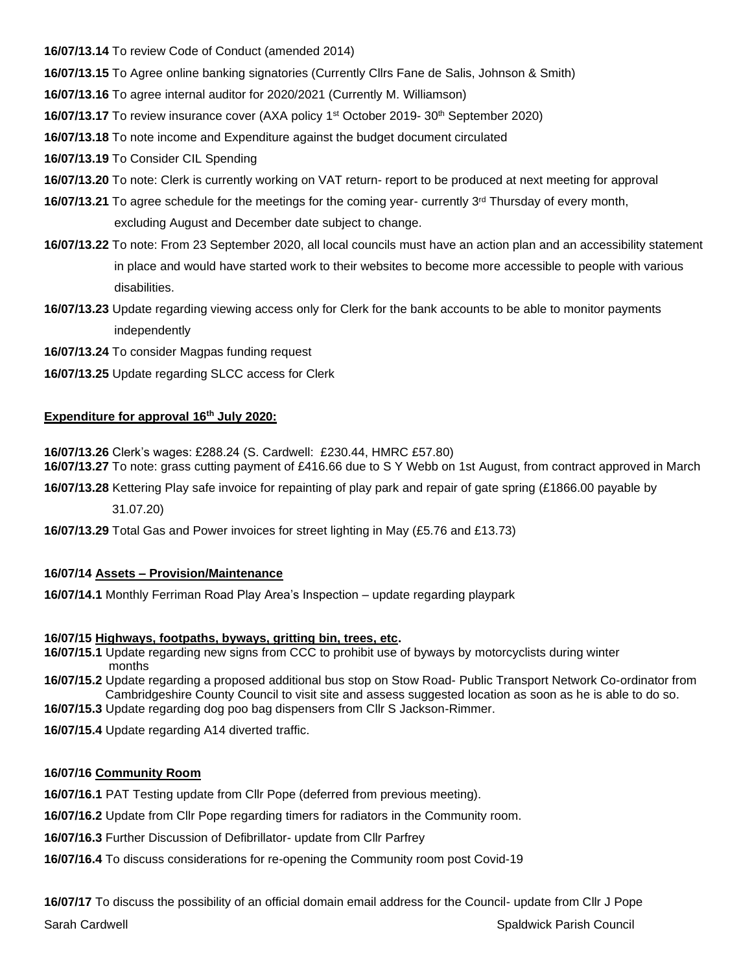**16/07/13.14** To review Code of Conduct (amended 2014)

**16/07/13.15** To Agree online banking signatories (Currently Cllrs Fane de Salis, Johnson & Smith)

**16/07/13.16** To agree internal auditor for 2020/2021 (Currently M. Williamson)

**16/07/13.17** To review insurance cover (AXA policy 1st October 2019- 30th September 2020)

**16/07/13.18** To note income and Expenditure against the budget document circulated

**16/07/13.19** To Consider CIL Spending

- **16/07/13.20** To note: Clerk is currently working on VAT return- report to be produced at next meeting for approval
- **16/07/13.21** To agree schedule for the meetings for the coming year- currently 3rd Thursday of every month, excluding August and December date subject to change.
- **16/07/13.22** To note: From 23 September 2020, all local councils must have an action plan and an accessibility statement in place and would have started work to their websites to become more accessible to people with various disabilities.
- **16/07/13.23** Update regarding viewing access only for Clerk for the bank accounts to be able to monitor payments independently
- **16/07/13.24** To consider Magpas funding request
- **16/07/13.25** Update regarding SLCC access for Clerk

# **Expenditure for approval 16th July 2020:**

**16/07/13.26** Clerk's wages: £288.24 (S. Cardwell: £230.44, HMRC £57.80) **16/07/13.27** To note: grass cutting payment of £416.66 due to S Y Webb on 1st August, from contract approved in March

**16/07/13.28** Kettering Play safe invoice for repainting of play park and repair of gate spring (£1866.00 payable by

31.07.20)

**16/07/13.29** Total Gas and Power invoices for street lighting in May (£5.76 and £13.73)

# **16/07/14 Assets – Provision/Maintenance**

**16/07/14.1** Monthly Ferriman Road Play Area's Inspection – update regarding playpark

# **16/07/15 Highways, footpaths, byways, gritting bin, trees, etc.**

- **16/07/15.1** Update regarding new signs from CCC to prohibit use of byways by motorcyclists during winter months
- **16/07/15.2** Update regarding a proposed additional bus stop on Stow Road- Public Transport Network Co-ordinator from Cambridgeshire County Council to visit site and assess suggested location as soon as he is able to do so.

**16/07/15.3** Update regarding dog poo bag dispensers from Cllr S Jackson-Rimmer.

**16/07/15.4** Update regarding A14 diverted traffic.

# **16/07/16 Community Room**

**16/07/16.1** PAT Testing update from Cllr Pope (deferred from previous meeting).

**16/07/16.2** Update from Cllr Pope regarding timers for radiators in the Community room.

**16/07/16.3** Further Discussion of Defibrillator- update from Cllr Parfrey

**16/07/16.4** To discuss considerations for re-opening the Community room post Covid-19

**16/07/17** To discuss the possibility of an official domain email address for the Council- update from Cllr J Pope

Sarah Cardwell Spaldwick Parish Council Spaldwick Parish Council